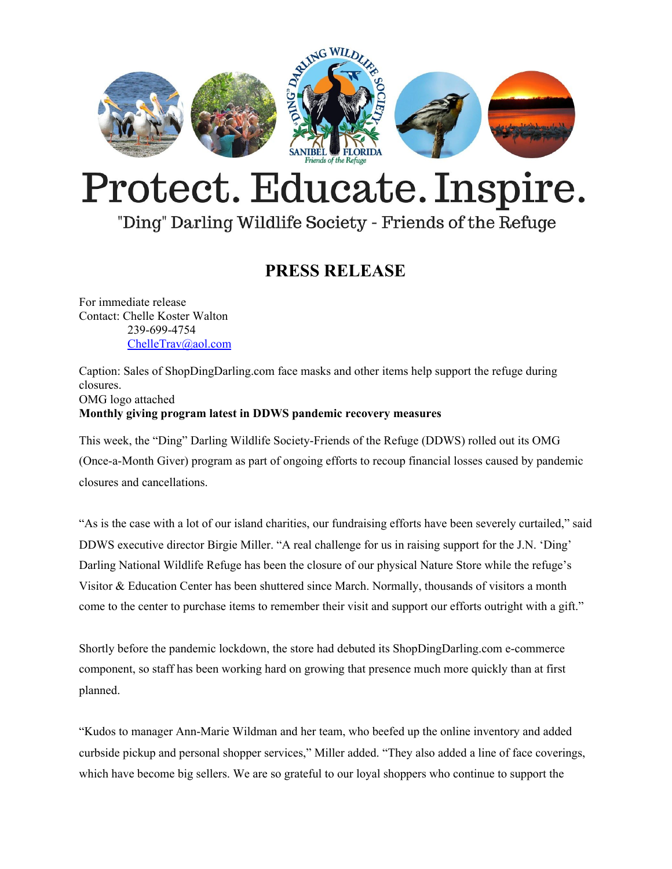

# Protect. Educate. Inspire.

### "Ding" Darling Wildlife Society - Friends of the Refuge

#### **PRESS RELEASE**

For immediate release Contact: Chelle Koster Walton 239-699-4754 [ChelleTrav@aol.com](mailto:ChelleTrav@aol.com)

Caption: Sales of ShopDingDarling.com face masks and other items help support the refuge during closures. OMG logo attached **Monthly giving program latest in DDWS pandemic recovery measures**

This week, the "Ding" Darling Wildlife Society-Friends of the Refuge (DDWS) rolled out its OMG (Once-a-Month Giver) program as part of ongoing efforts to recoup financial losses caused by pandemic closures and cancellations.

"As is the case with a lot of our island charities, our fundraising efforts have been severely curtailed," said DDWS executive director Birgie Miller. "A real challenge for us in raising support for the J.N. 'Ding' Darling National Wildlife Refuge has been the closure of our physical Nature Store while the refuge's Visitor & Education Center has been shuttered since March. Normally, thousands of visitors a month come to the center to purchase items to remember their visit and support our efforts outright with a gift."

Shortly before the pandemic lockdown, the store had debuted its ShopDingDarling.com e-commerce component, so staff has been working hard on growing that presence much more quickly than at first planned.

"Kudos to manager Ann-Marie Wildman and her team, who beefed up the online inventory and added curbside pickup and personal shopper services," Miller added. "They also added a line of face coverings, which have become big sellers. We are so grateful to our loyal shoppers who continue to support the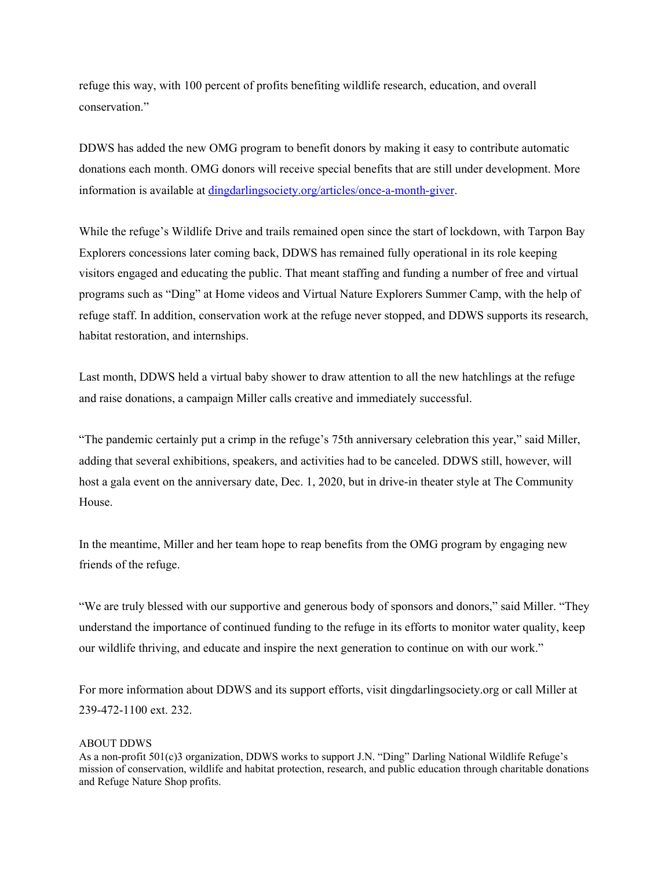refuge this way, with 100 percent of profits benefiting wildlife research, education, and overall conservation."

DDWS has added the new OMG program to benefit donors by making it easy to contribute automatic donations each month. OMG donors will receive special benefits that are still under development. More information is available at [dingdarlingsociety.org/articles/once-a-month-giver](https://www.dingdarlingsociety.org/articles/once-a-month-giver).

While the refuge's Wildlife Drive and trails remained open since the start of lockdown, with Tarpon Bay Explorers concessions later coming back, DDWS has remained fully operational in its role keeping visitors engaged and educating the public. That meant staffing and funding a number of free and virtual programs such as "Ding" at Home videos and Virtual Nature Explorers Summer Camp, with the help of refuge staff. In addition, conservation work at the refuge never stopped, and DDWS supports its research, habitat restoration, and internships.

Last month, DDWS held a virtual baby shower to draw attention to all the new hatchlings at the refuge and raise donations, a campaign Miller calls creative and immediately successful.

"The pandemic certainly put a crimp in the refuge's 75th anniversary celebration this year," said Miller, adding that several exhibitions, speakers, and activities had to be canceled. DDWS still, however, will host a gala event on the anniversary date, Dec. 1, 2020, but in drive-in theater style at The Community House.

In the meantime, Miller and her team hope to reap benefits from the OMG program by engaging new friends of the refuge.

"We are truly blessed with our supportive and generous body of sponsors and donors," said Miller. "They understand the importance of continued funding to the refuge in its efforts to monitor water quality, keep our wildlife thriving, and educate and inspire the next generation to continue on with our work."

For more information about DDWS and its support efforts, visit dingdarlingsociety.org or call Miller at 239-472-1100 ext. 232.

#### ABOUT DDWS

As a non-profit 501(c)3 organization, DDWS works to support J.N. "Ding" Darling National Wildlife Refuge's mission of conservation, wildlife and habitat protection, research, and public education through charitable donations and Refuge Nature Shop profits.